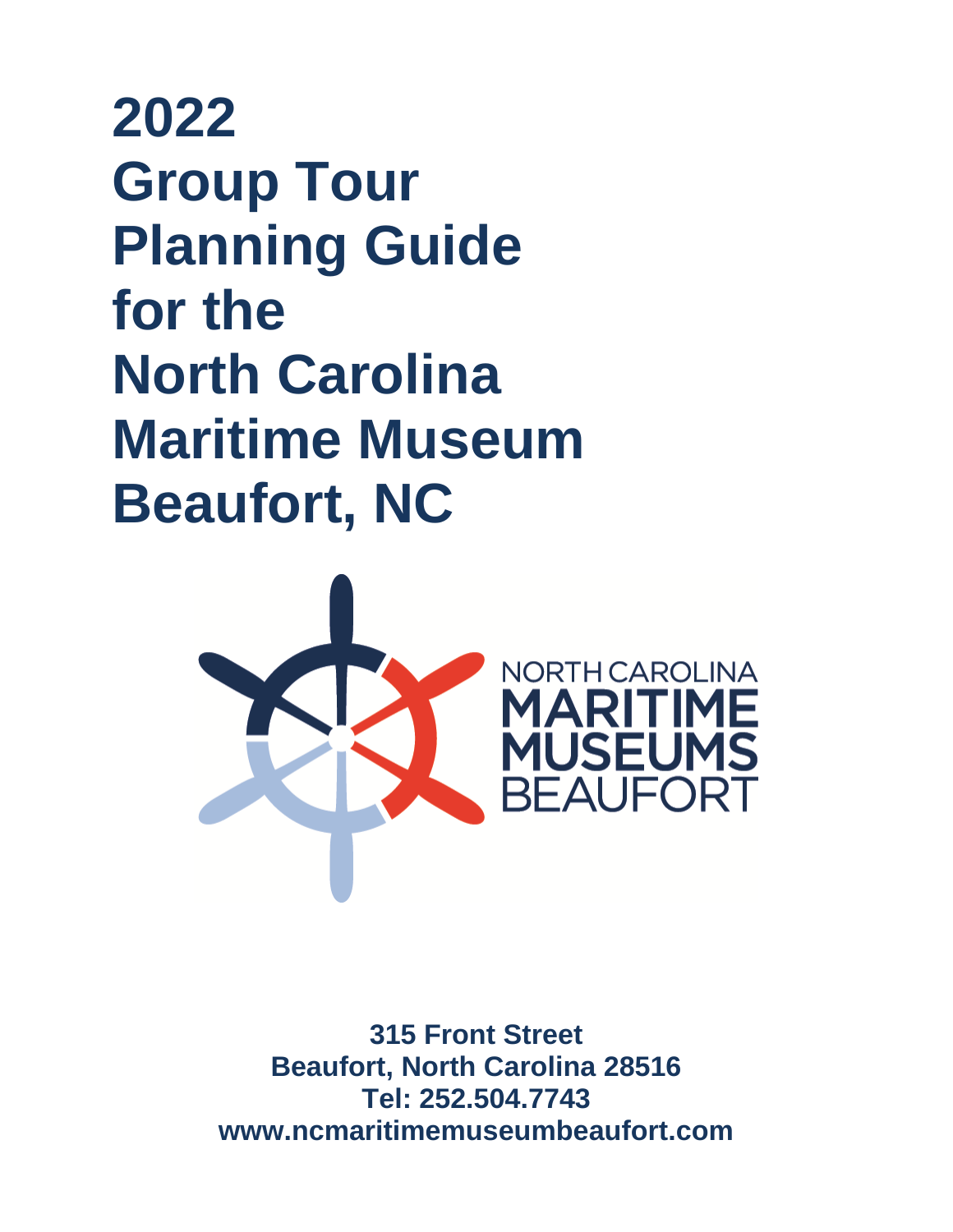# **2022 Group Tour Planning Guide for the North Carolina Maritime Museum Beaufort, NC**



**315 Front Street Beaufort, North Carolina 28516 Tel: 252.504.7743 www.ncmaritimemuseumbeaufort.com**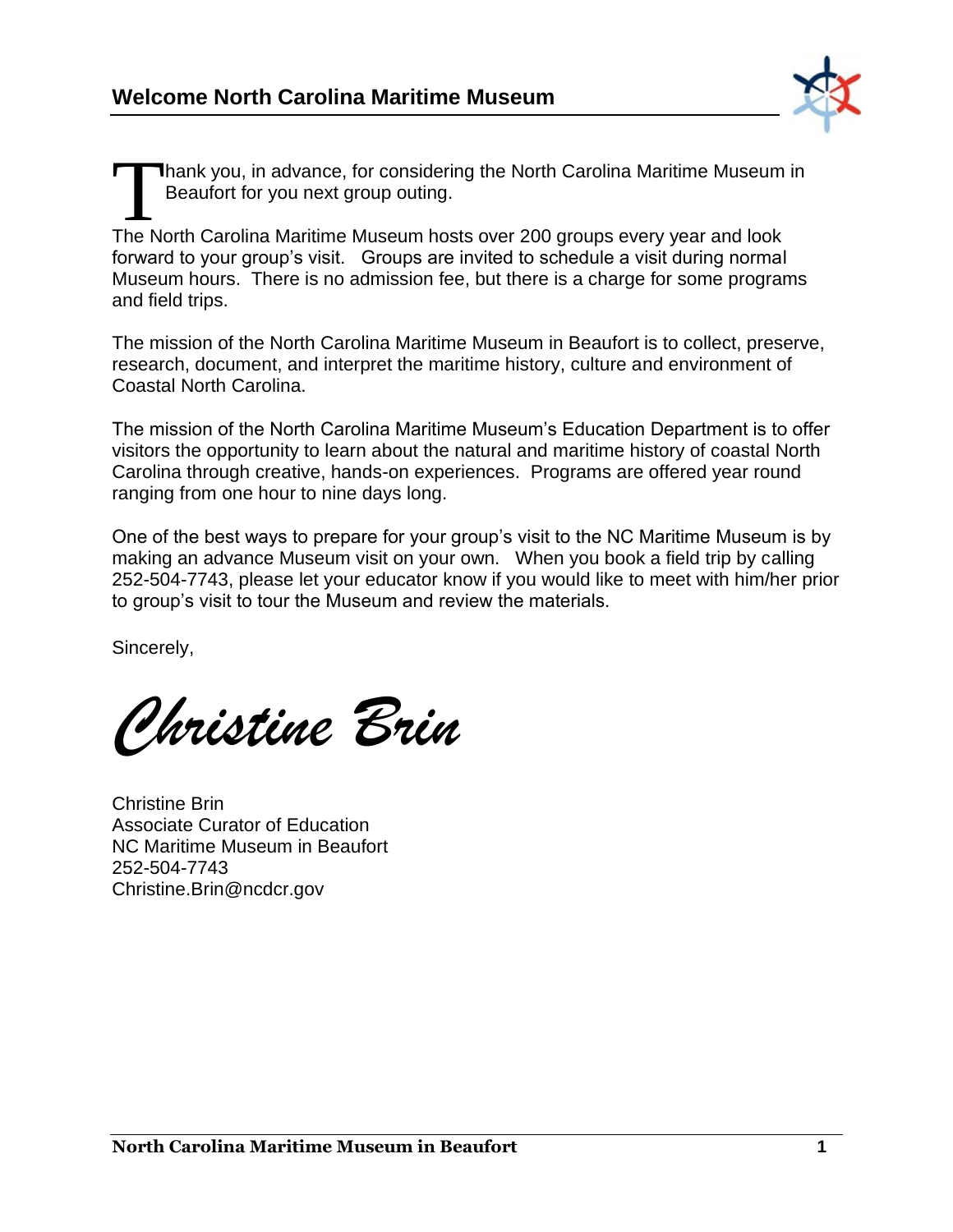

hank you, in advance, for considering the North Carolina Maritime Museum in Beaufort for you next group outing. Thank you, in advance, for considering the North Carolina Maritime Museum<br>Beaufort for you next group outing.<br>The North Carolina Maritime Museum hosts over 200 groups every year and look

forward to your group's visit. Groups are invited to schedule a visit during normal Museum hours. There is no admission fee, but there is a charge for some programs and field trips.

The mission of the North Carolina Maritime Museum in Beaufort is to collect, preserve, research, document, and interpret the maritime history, culture and environment of Coastal North Carolina.

The mission of the North Carolina Maritime Museum's Education Department is to offer visitors the opportunity to learn about the natural and maritime history of coastal North Carolina through creative, hands-on experiences. Programs are offered year round ranging from one hour to nine days long.

One of the best ways to prepare for your group's visit to the NC Maritime Museum is by making an advance Museum visit on your own. When you book a field trip by calling 252-504-7743, please let your educator know if you would like to meet with him/her prior to group's visit to tour the Museum and review the materials.

Sincerely,

*Christine Brin*

Christine Brin Associate Curator of Education NC Maritime Museum in Beaufort 252-504-7743 Christine.Brin@ncdcr.gov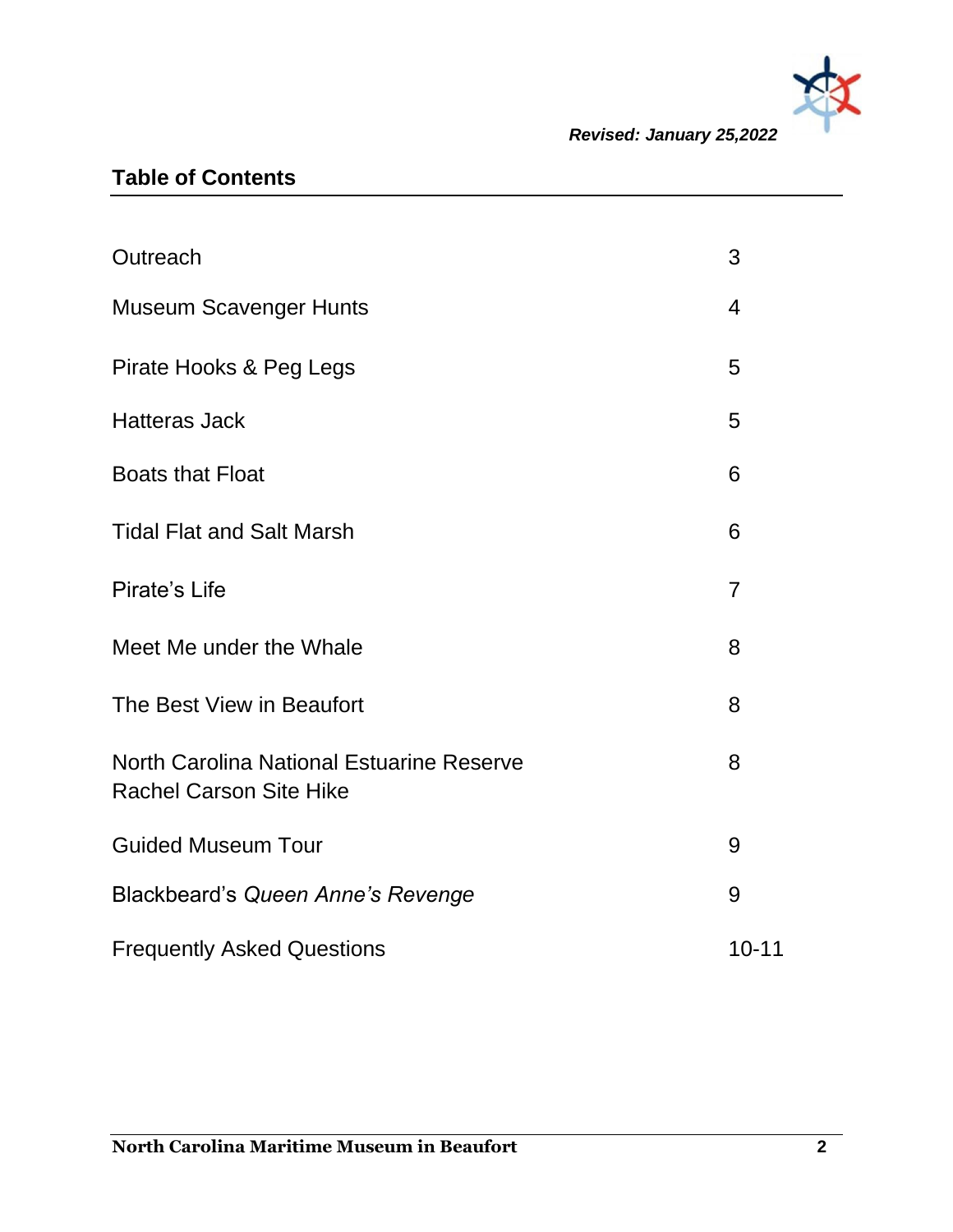

*Revised: January 25,2022*

## **Table of Contents**

| Outreach                                                                    | 3              |
|-----------------------------------------------------------------------------|----------------|
| <b>Museum Scavenger Hunts</b>                                               | $\overline{4}$ |
| Pirate Hooks & Peg Legs                                                     | 5              |
| <b>Hatteras Jack</b>                                                        | 5              |
| <b>Boats that Float</b>                                                     | 6              |
| <b>Tidal Flat and Salt Marsh</b>                                            | 6              |
| Pirate's Life                                                               | $\overline{7}$ |
| Meet Me under the Whale                                                     | 8              |
| The Best View in Beaufort                                                   | 8              |
| North Carolina National Estuarine Reserve<br><b>Rachel Carson Site Hike</b> | 8              |
| <b>Guided Museum Tour</b>                                                   | 9              |
| Blackbeard's Queen Anne's Revenge                                           | 9              |
| <b>Frequently Asked Questions</b>                                           | $10 - 11$      |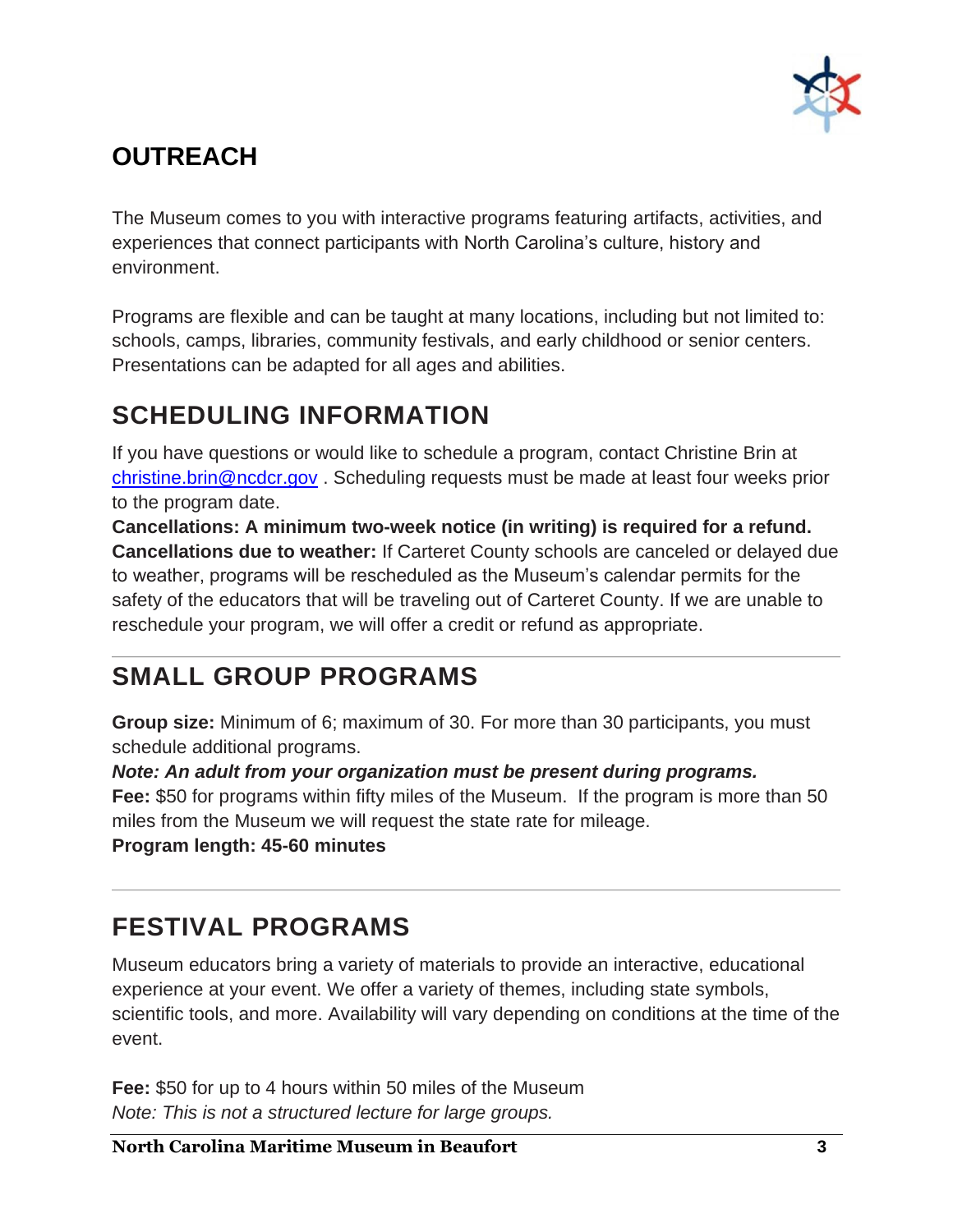

# **OUTREACH**

The Museum comes to you with interactive programs featuring artifacts, activities, and experiences that connect participants with North Carolina's culture, history and environment.

Programs are flexible and can be taught at many locations, including but not limited to: schools, camps, libraries, community festivals, and early childhood or senior centers. Presentations can be adapted for all ages and abilities.

# **SCHEDULING INFORMATION**

If you have questions or would like to schedule a program, contact Christine Brin at [christine.brin@ncdcr.gov](mailto:christine.brin@ncdcr.gov) . Scheduling requests must be made at least four weeks prior to the program date.

**Cancellations: A minimum two-week notice (in writing) is required for a refund. Cancellations due to weather:** If Carteret County schools are canceled or delayed due to weather, programs will be rescheduled as the Museum's calendar permits for the safety of the educators that will be traveling out of Carteret County. If we are unable to reschedule your program, we will offer a credit or refund as appropriate.

# **SMALL GROUP PROGRAMS**

**Group size:** Minimum of 6; maximum of 30. For more than 30 participants, you must schedule additional programs.

*Note: An adult from your organization must be present during programs.*

**Fee:** \$50 for programs within fifty miles of the Museum. If the program is more than 50 miles from the Museum we will request the state rate for mileage.

**Program length: 45-60 minutes**

# **FESTIVAL PROGRAMS**

Museum educators bring a variety of materials to provide an interactive, educational experience at your event. We offer a variety of themes, including state symbols, scientific tools, and more. Availability will vary depending on conditions at the time of the event.

**Fee:** \$50 for up to 4 hours within 50 miles of the Museum *Note: This is not a structured lecture for large groups.*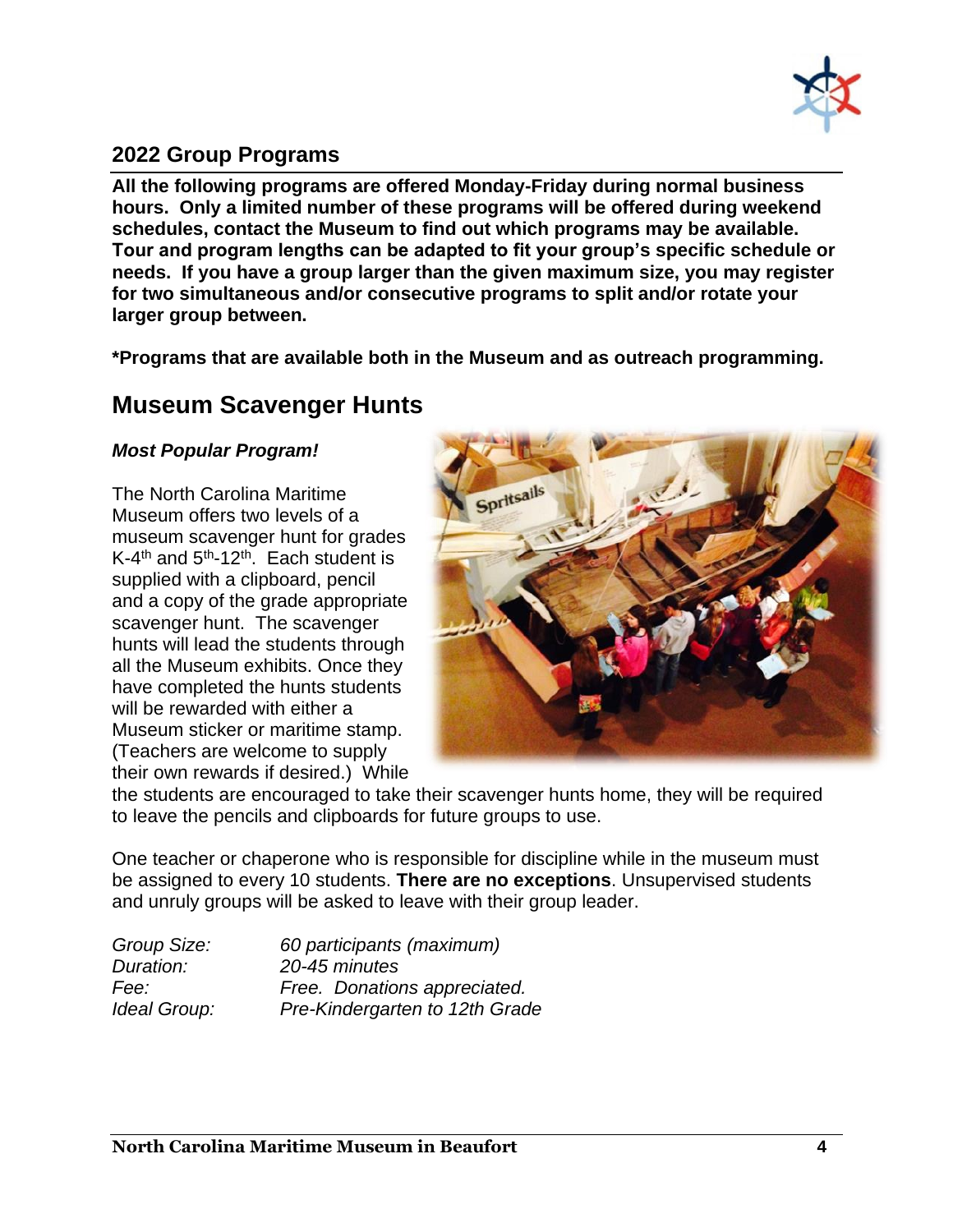

## **2022 Group Programs**

**All the following programs are offered Monday-Friday during normal business hours. Only a limited number of these programs will be offered during weekend schedules, contact the Museum to find out which programs may be available. Tour and program lengths can be adapted to fit your group's specific schedule or needs. If you have a group larger than the given maximum size, you may register for two simultaneous and/or consecutive programs to split and/or rotate your larger group between.** 

**\*Programs that are available both in the Museum and as outreach programming.**

## **Museum Scavenger Hunts**

## *Most Popular Program!*

The North Carolina Maritime Museum offers two levels of a museum scavenger hunt for grades K-4<sup>th</sup> and 5<sup>th</sup>-12<sup>th</sup>. Each student is supplied with a clipboard, pencil and a copy of the grade appropriate scavenger hunt. The scavenger hunts will lead the students through all the Museum exhibits. Once they have completed the hunts students will be rewarded with either a Museum sticker or maritime stamp. (Teachers are welcome to supply their own rewards if desired.) While



the students are encouraged to take their scavenger hunts home, they will be required to leave the pencils and clipboards for future groups to use.

One teacher or chaperone who is responsible for discipline while in the museum must be assigned to every 10 students. **There are no exceptions**. Unsupervised students and unruly groups will be asked to leave with their group leader.

*Group Size: 60 participants (maximum) Duration: 20-45 minutes Fee: Free. Donations appreciated. Ideal Group: Pre-Kindergarten to 12th Grade*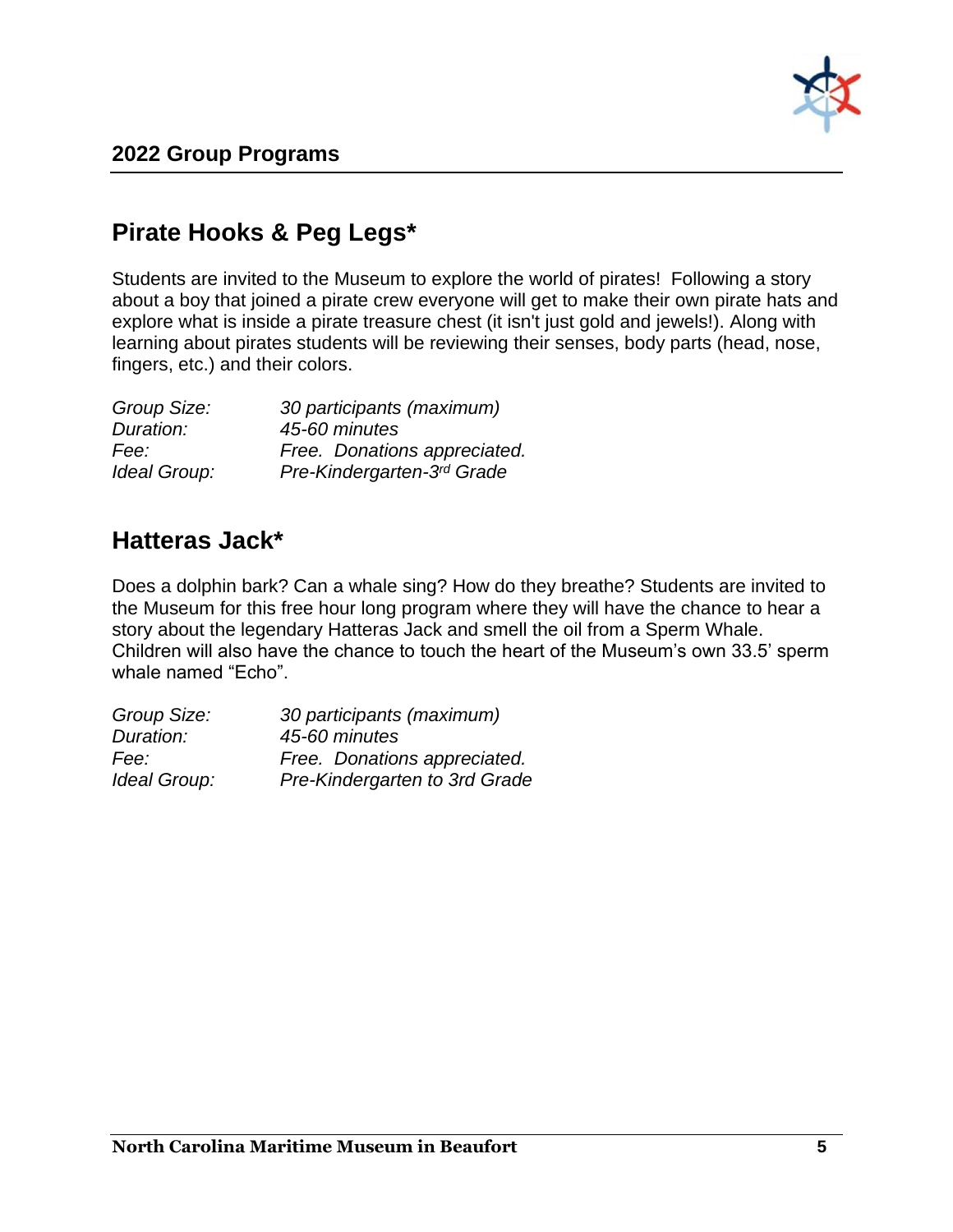

## **Pirate Hooks & Peg Legs\***

Students are invited to the Museum to explore the world of pirates! Following a story about a boy that joined a pirate crew everyone will get to make their own pirate hats and explore what is inside a pirate treasure chest (it isn't just gold and jewels!). Along with learning about pirates students will be reviewing their senses, body parts (head, nose, fingers, etc.) and their colors.

| Group Size:  | 30 participants (maximum)    |
|--------------|------------------------------|
| Duration:    | 45-60 minutes                |
| Fee:         | Free. Donations appreciated. |
| Ideal Group: | Pre-Kindergarten-3rd Grade   |

## **Hatteras Jack\***

Does a dolphin bark? Can a whale sing? How do they breathe? Students are invited to the Museum for this free hour long program where they will have the chance to hear a story about the legendary Hatteras Jack and smell the oil from a Sperm Whale. Children will also have the chance to touch the heart of the Museum's own 33.5' sperm whale named "Echo".

| Group Size:  | 30 participants (maximum)     |
|--------------|-------------------------------|
| Duration:    | 45-60 minutes                 |
| Fee:         | Free. Donations appreciated.  |
| Ideal Group: | Pre-Kindergarten to 3rd Grade |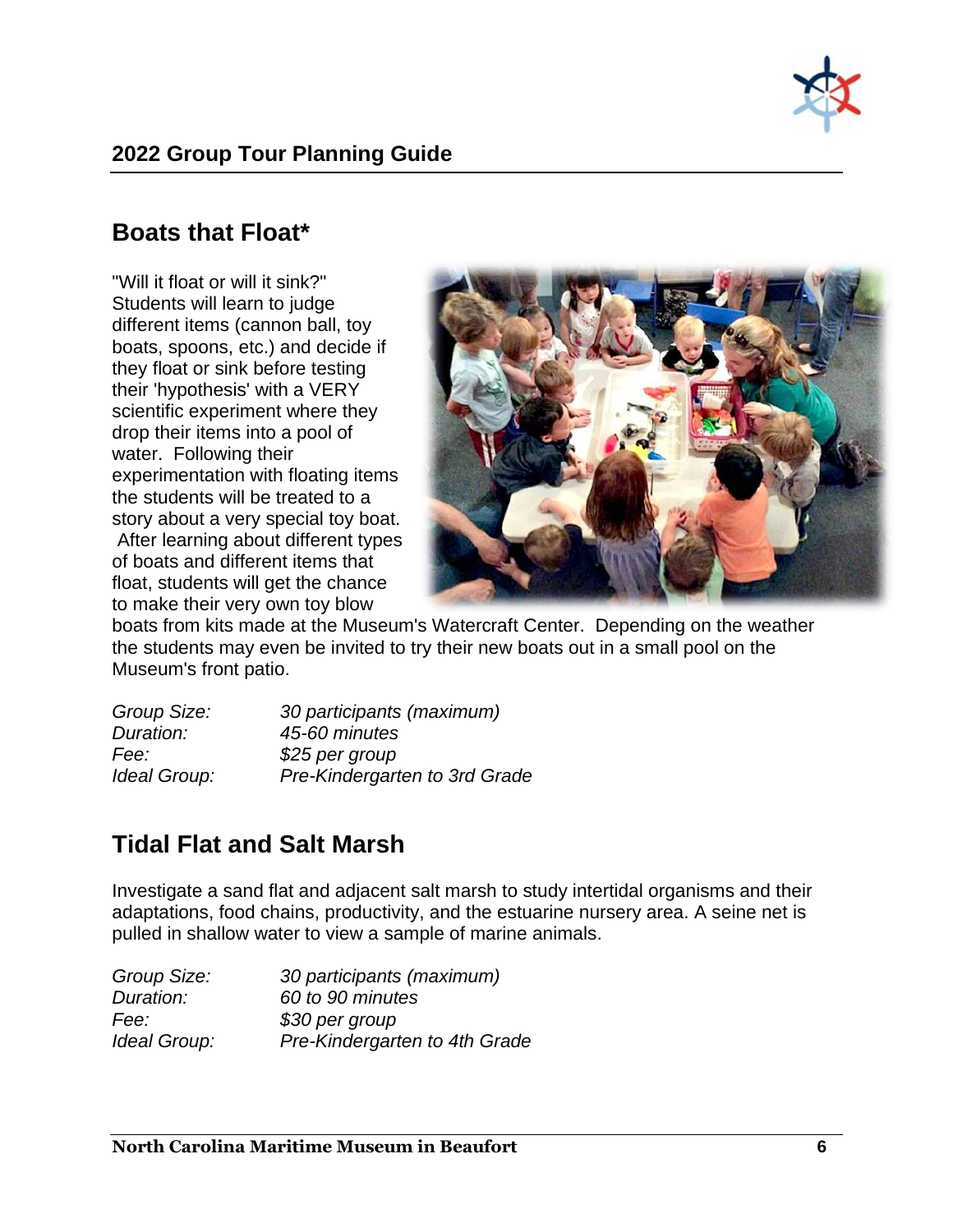

## **Boats that Float\***

"Will it float or will it sink?" Students will learn to judge different items (cannon ball, toy boats, spoons, etc.) and decide if they float or sink before testing their 'hypothesis' with a VERY scientific experiment where they drop their items into a pool of water. Following their experimentation with floating items the students will be treated to a story about a very special toy boat. After learning about different types of boats and different items that float, students will get the chance to make their very own toy blow



boats from kits made at the Museum's Watercraft Center. Depending on the weather the students may even be invited to try their new boats out in a small pool on the Museum's front patio.

| Group Size:  | 30 participants (maximum)     |
|--------------|-------------------------------|
| Duration:    | 45-60 minutes                 |
| Fee:         | \$25 per group                |
| Ideal Group: | Pre-Kindergarten to 3rd Grade |

## **Tidal Flat and Salt Marsh**

Investigate a sand flat and adjacent salt marsh to study intertidal organisms and their adaptations, food chains, productivity, and the estuarine nursery area. A seine net is pulled in shallow water to view a sample of marine animals.

| 30 participants (maximum)     |
|-------------------------------|
| 60 to 90 minutes              |
| \$30 per group                |
| Pre-Kindergarten to 4th Grade |
|                               |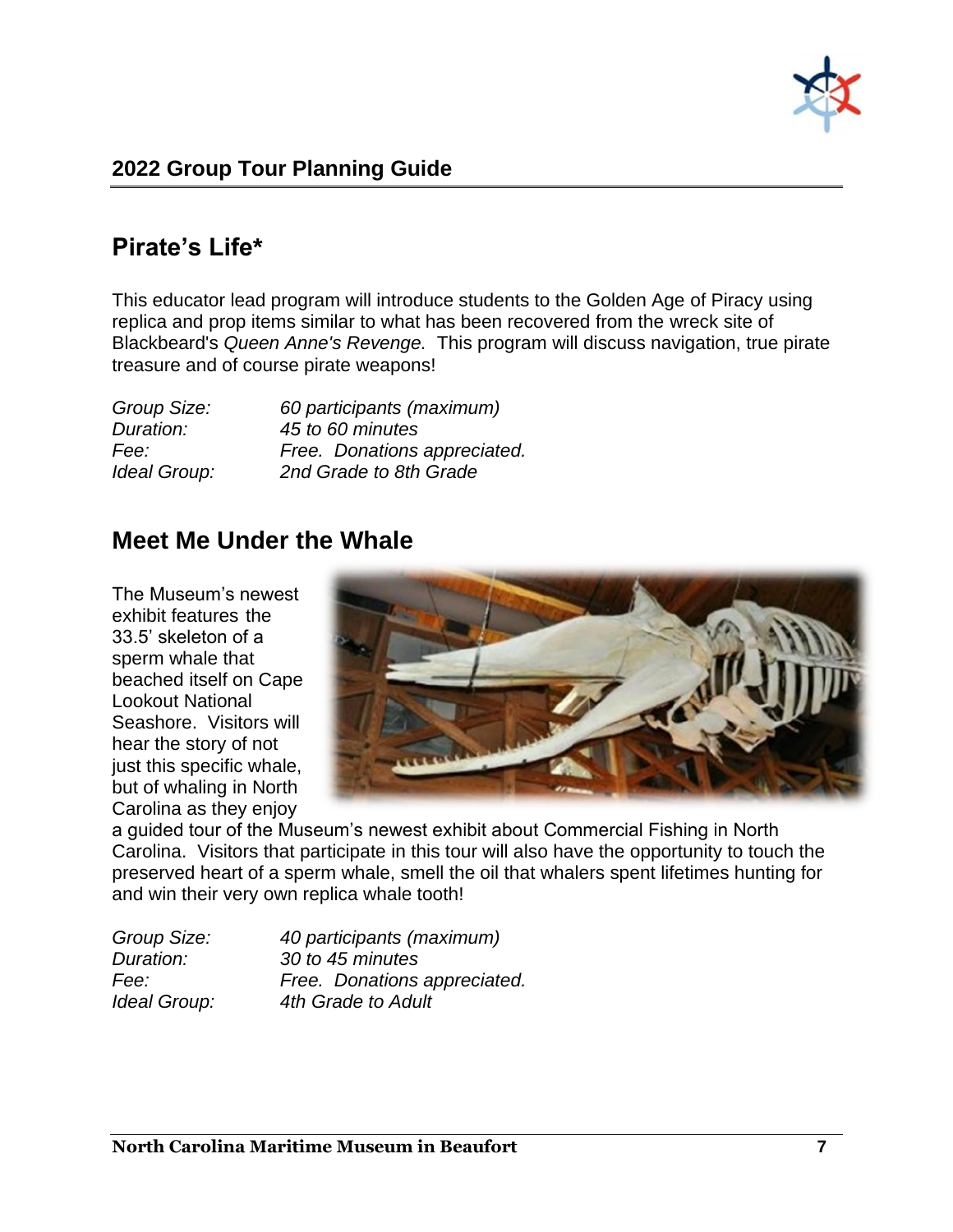

## **Pirate's Life\***

This educator lead program will introduce students to the Golden Age of Piracy using replica and prop items similar to what has been recovered from the wreck site of Blackbeard's *Queen Anne's Revenge.* This program will discuss navigation, true pirate treasure and of course pirate weapons!

| Group Size:  | 60 participants (maximum)    |
|--------------|------------------------------|
| Duration:    | 45 to 60 minutes             |
| Fee:         | Free. Donations appreciated. |
| Ideal Group: | 2nd Grade to 8th Grade       |

## **Meet Me Under the Whale**

The Museum's newest exhibit features the 33.5' skeleton of a sperm whale that beached itself on Cape Lookout National Seashore. Visitors will hear the story of not just this specific whale, but of whaling in North Carolina as they enjoy



a guided tour of the Museum's newest exhibit about Commercial Fishing in North Carolina. Visitors that participate in this tour will also have the opportunity to touch the preserved heart of a sperm whale, smell the oil that whalers spent lifetimes hunting for and win their very own replica whale tooth!

| Group Size:  | 40 participants (maximum)    |
|--------------|------------------------------|
| Duration:    | 30 to 45 minutes             |
| Fee:         | Free. Donations appreciated. |
| Ideal Group: | 4th Grade to Adult           |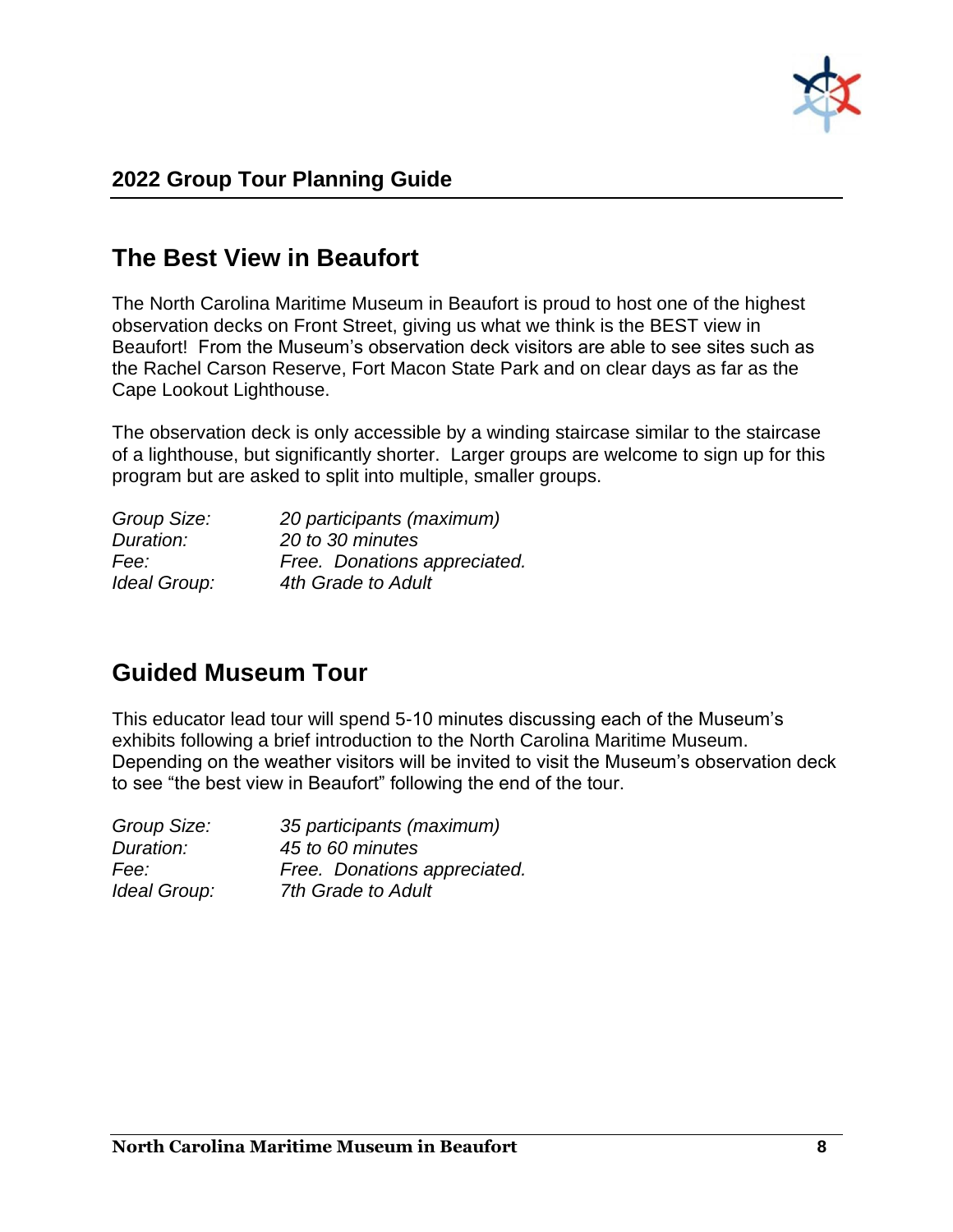

## **The Best View in Beaufort**

The North Carolina Maritime Museum in Beaufort is proud to host one of the highest observation decks on Front Street, giving us what we think is the BEST view in Beaufort! From the Museum's observation deck visitors are able to see sites such as the Rachel Carson Reserve, Fort Macon State Park and on clear days as far as the Cape Lookout Lighthouse.

The observation deck is only accessible by a winding staircase similar to the staircase of a lighthouse, but significantly shorter. Larger groups are welcome to sign up for this program but are asked to split into multiple, smaller groups.

| 20 participants (maximum)    |
|------------------------------|
| 20 to 30 minutes             |
| Free. Donations appreciated. |
| 4th Grade to Adult           |
|                              |

## **Guided Museum Tour**

This educator lead tour will spend 5-10 minutes discussing each of the Museum's exhibits following a brief introduction to the North Carolina Maritime Museum. Depending on the weather visitors will be invited to visit the Museum's observation deck to see "the best view in Beaufort" following the end of the tour.

| Group Size:  | 35 participants (maximum)    |
|--------------|------------------------------|
| Duration:    | 45 to 60 minutes             |
| Fee:         | Free. Donations appreciated. |
| Ideal Group: | 7th Grade to Adult           |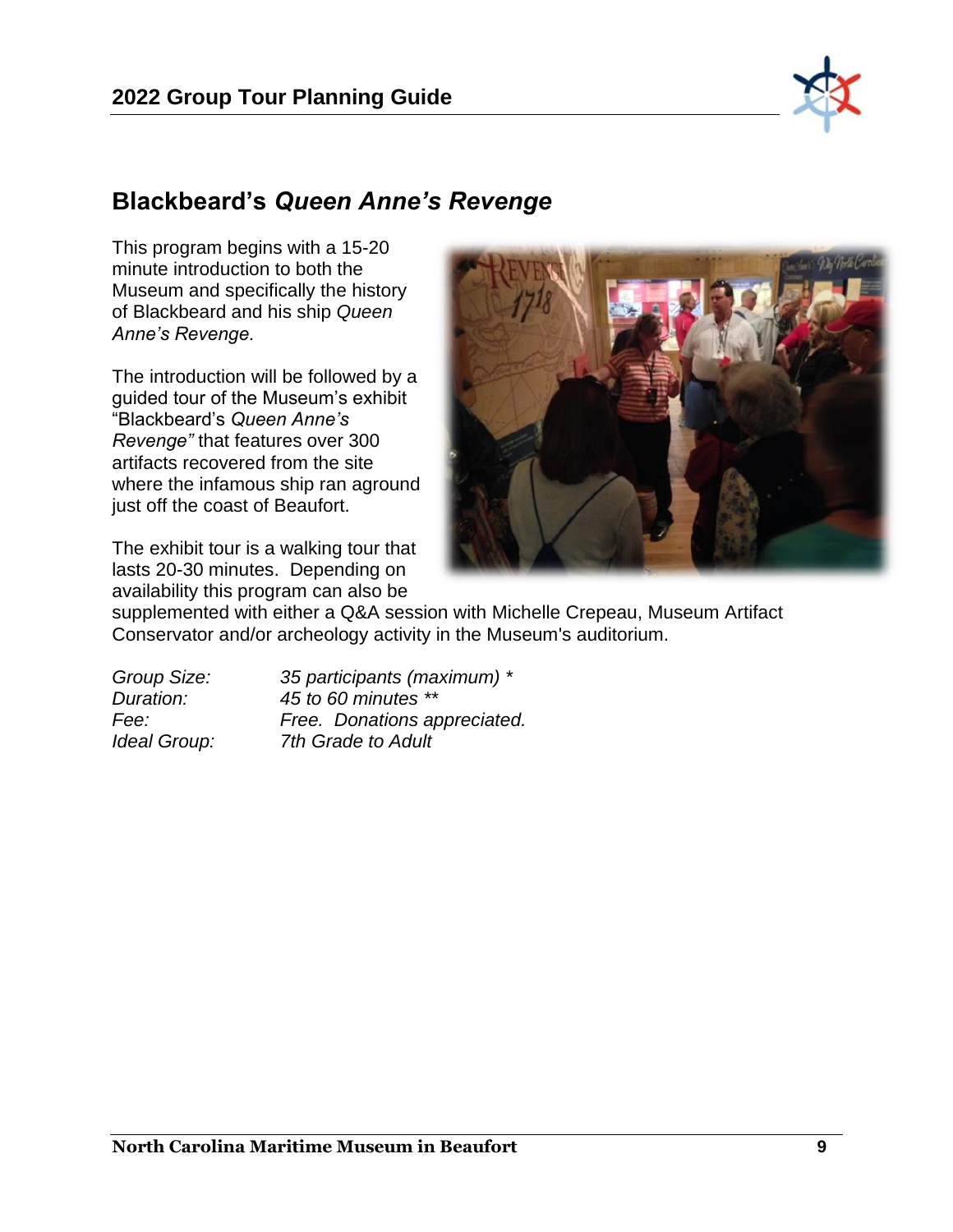

## **Blackbeard's** *Queen Anne's Revenge*

This program begins with a 15-20 minute introduction to both the Museum and specifically the history of Blackbeard and his ship *Queen Anne's Revenge.*

The introduction will be followed by a guided tour of the Museum's exhibit "Blackbeard's *Queen Anne's Revenge"* that features over 300 artifacts recovered from the site where the infamous ship ran aground just off the coast of Beaufort.

The exhibit tour is a walking tour that lasts 20-30 minutes. Depending on availability this program can also be



supplemented with either a Q&A session with Michelle Crepeau, Museum Artifact Conservator and/or archeology activity in the Museum's auditorium.

| Group Size:  | 35 participants (maximum) *  |
|--------------|------------------------------|
| Duration:    | 45 to 60 minutes **          |
| Fee:         | Free. Donations appreciated. |
| Ideal Group: | 7th Grade to Adult           |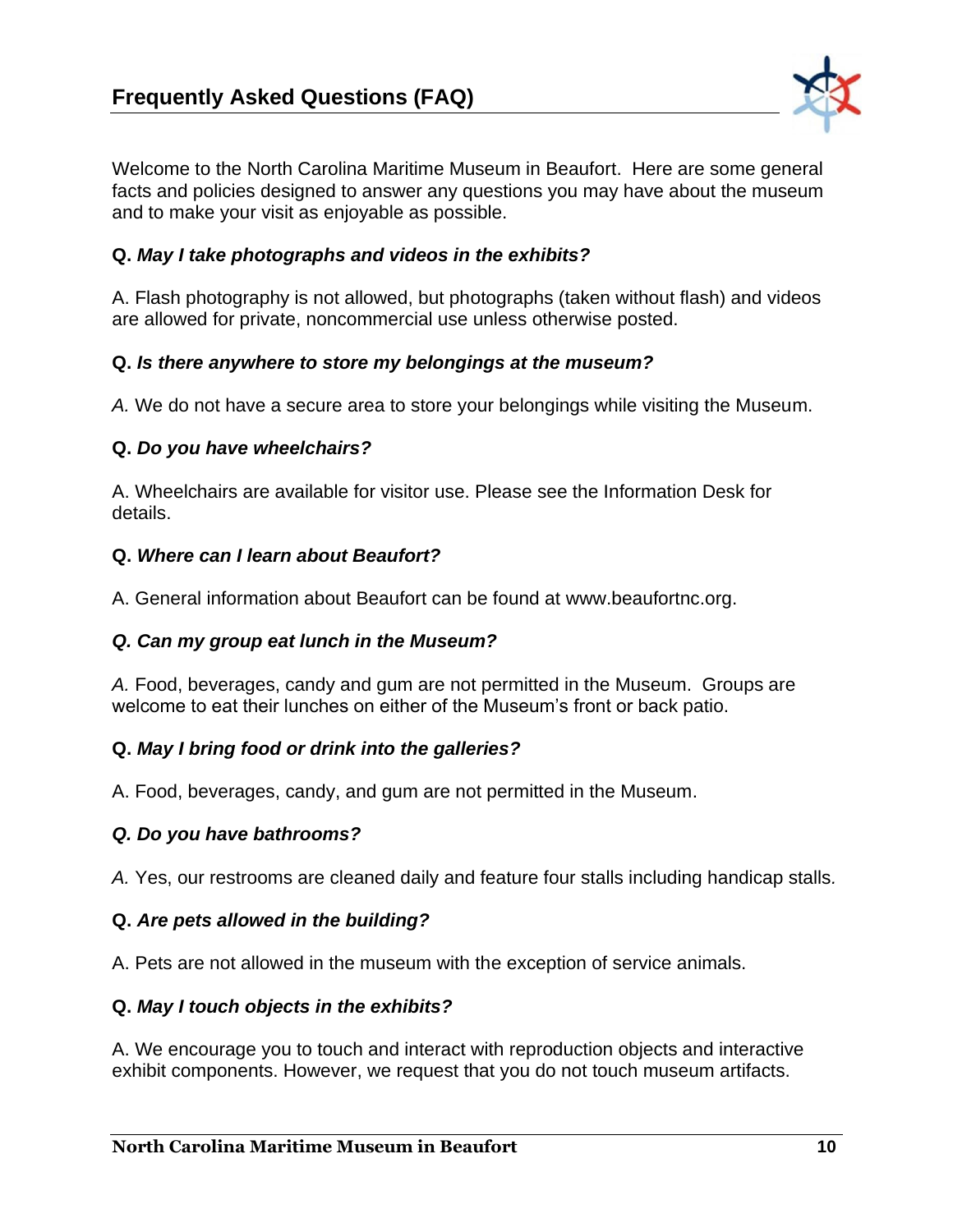

Welcome to the North Carolina Maritime Museum in Beaufort. Here are some general facts and policies designed to answer any questions you may have about the museum and to make your visit as enjoyable as possible.

### **Q.** *May I take photographs and videos in the exhibits?*

A. Flash photography is not allowed, but photographs (taken without flash) and videos are allowed for private, noncommercial use unless otherwise posted.

#### **Q.** *Is there anywhere to store my belongings at the museum?*

*A.* We do not have a secure area to store your belongings while visiting the Museum.

#### **Q.** *Do you have wheelchairs?*

A. Wheelchairs are available for visitor use. Please see the Information Desk for details.

#### **Q.** *Where can I learn about Beaufort?*

A. General information about Beaufort can be found at www.beaufortnc.org.

#### *Q. Can my group eat lunch in the Museum?*

*A.* Food, beverages, candy and gum are not permitted in the Museum. Groups are welcome to eat their lunches on either of the Museum's front or back patio.

#### **Q.** *May I bring food or drink into the galleries?*

A. Food, beverages, candy, and gum are not permitted in the Museum.

#### *Q. Do you have bathrooms?*

*A.* Yes, our restrooms are cleaned daily and feature four stalls including handicap stalls*.* 

#### **Q.** *Are pets allowed in the building?*

A. Pets are not allowed in the museum with the exception of service animals.

#### **Q.** *May I touch objects in the exhibits?*

A. We encourage you to touch and interact with reproduction objects and interactive exhibit components. However, we request that you do not touch museum artifacts.